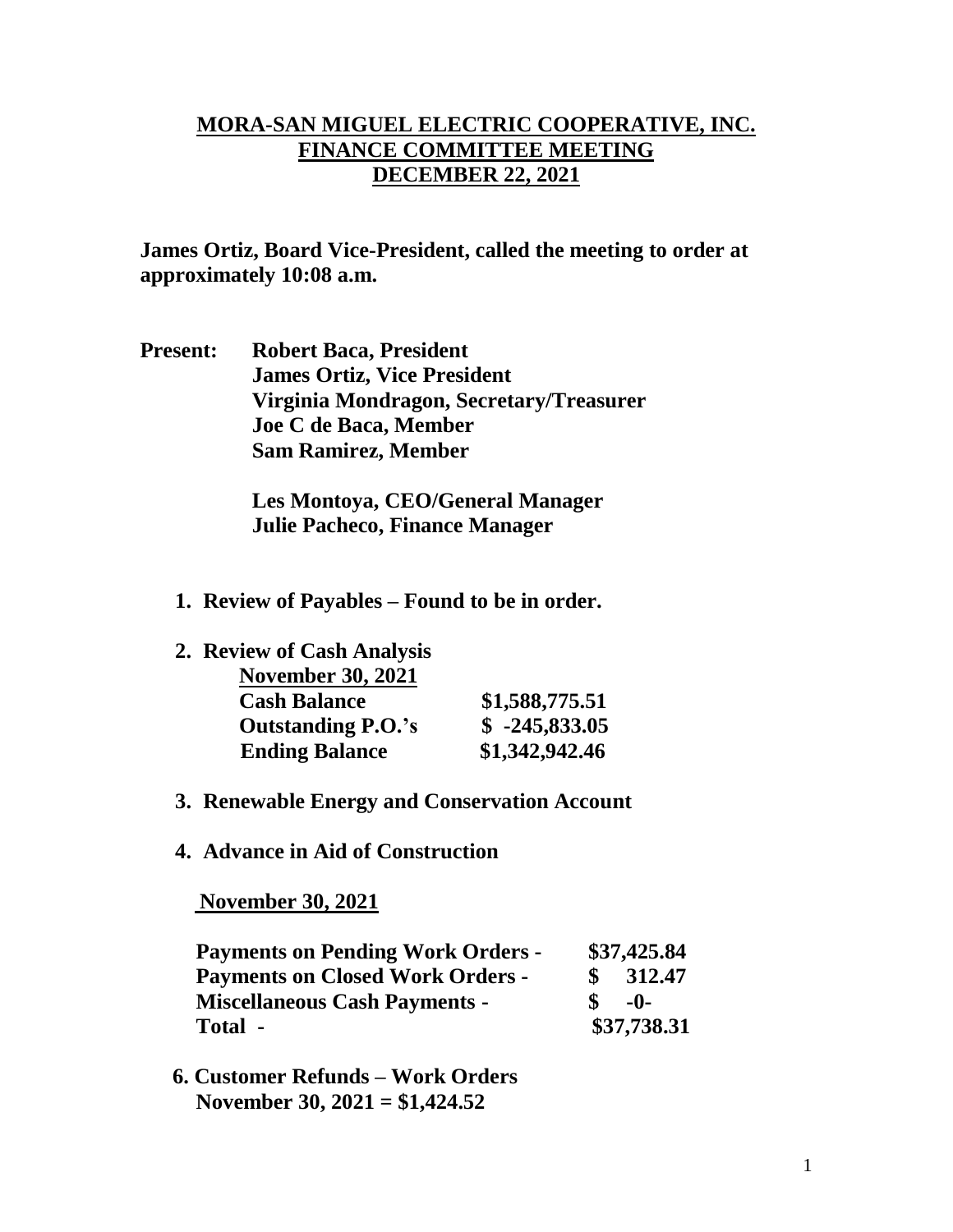## **MORA-SAN MIGUEL ELECTRIC COOPERATIVE, INC. FINANCE COMMITTEE MEETING DECEMBER 22, 2021**

**James Ortiz, Board Vice-President, called the meeting to order at approximately 10:08 a.m.**

**Present: Robert Baca, President James Ortiz, Vice President Virginia Mondragon, Secretary/Treasurer Joe C de Baca, Member Sam Ramirez, Member**

> **Les Montoya, CEO/General Manager Julie Pacheco, Finance Manager**

- **1. Review of Payables – Found to be in order.**
- **2. Review of Cash Analysis**

| <b>November 30, 2021</b>  |                 |
|---------------------------|-----------------|
| <b>Cash Balance</b>       | \$1,588,775.51  |
| <b>Outstanding P.O.'s</b> | $$ -245,833.05$ |
| <b>Ending Balance</b>     | \$1,342,942.46  |

- **3. Renewable Energy and Conservation Account**
- **4. Advance in Aid of Construction**

 **November 30, 2021**

| <b>Payments on Pending Work Orders -</b> |             | \$37,425.84 |  |
|------------------------------------------|-------------|-------------|--|
| <b>Payments on Closed Work Orders -</b>  | \$          | 312.47      |  |
| <b>Miscellaneous Cash Payments -</b>     |             | $-()$ -     |  |
| Total -                                  | \$37,738.31 |             |  |

 **6. Customer Refunds – Work Orders November 30, 2021 = \$1,424.52**